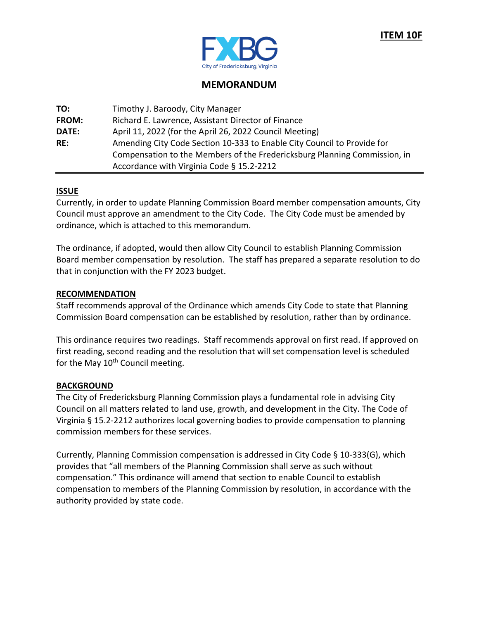

# **MEMORANDUM**

| TO:          | Timothy J. Baroody, City Manager                                          |
|--------------|---------------------------------------------------------------------------|
| <b>FROM:</b> | Richard E. Lawrence, Assistant Director of Finance                        |
| <b>DATE:</b> | April 11, 2022 (for the April 26, 2022 Council Meeting)                   |
| RE:          | Amending City Code Section 10-333 to Enable City Council to Provide for   |
|              | Compensation to the Members of the Fredericksburg Planning Commission, in |
|              | Accordance with Virginia Code § 15.2-2212                                 |

## **ISSUE**

Currently, in order to update Planning Commission Board member compensation amounts, City Council must approve an amendment to the City Code. The City Code must be amended by ordinance, which is attached to this memorandum.

The ordinance, if adopted, would then allow City Council to establish Planning Commission Board member compensation by resolution. The staff has prepared a separate resolution to do that in conjunction with the FY 2023 budget.

## **RECOMMENDATION**

Staff recommends approval of the Ordinance which amends City Code to state that Planning Commission Board compensation can be established by resolution, rather than by ordinance.

This ordinance requires two readings. Staff recommends approval on first read. If approved on first reading, second reading and the resolution that will set compensation level is scheduled for the May  $10<sup>th</sup>$  Council meeting.

## **BACKGROUND**

The City of Fredericksburg Planning Commission plays a fundamental role in advising City Council on all matters related to land use, growth, and development in the City. The Code of Virginia § 15.2-2212 authorizes local governing bodies to provide compensation to planning commission members for these services.

Currently, Planning Commission compensation is addressed in City Code § 10-333(G), which provides that "all members of the Planning Commission shall serve as such without compensation." This ordinance will amend that section to enable Council to establish compensation to members of the Planning Commission by resolution, in accordance with the authority provided by state code.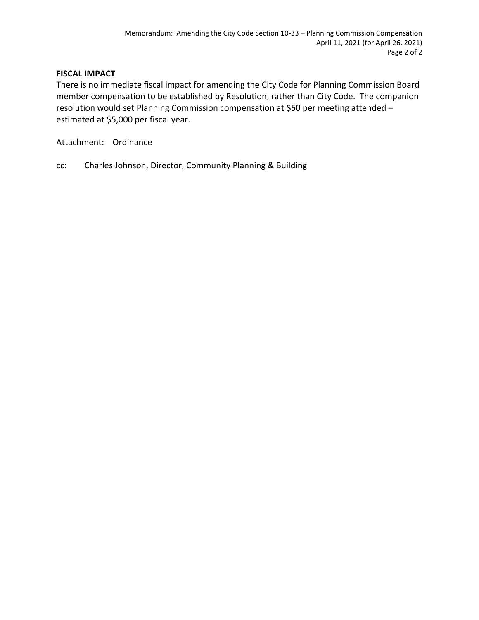## **FISCAL IMPACT**

There is no immediate fiscal impact for amending the City Code for Planning Commission Board member compensation to be established by Resolution, rather than City Code. The companion resolution would set Planning Commission compensation at \$50 per meeting attended – estimated at \$5,000 per fiscal year.

Attachment: Ordinance

cc: Charles Johnson, Director, Community Planning & Building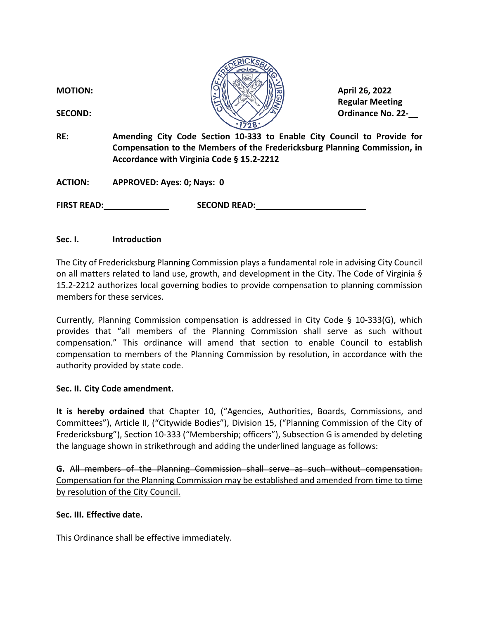| <b>MOTION:</b><br><b>SECOND:</b> | April 26, 2022<br><b>Regular Meeting</b><br><b>Ordinance No. 22-</b>                                                                                                                              |
|----------------------------------|---------------------------------------------------------------------------------------------------------------------------------------------------------------------------------------------------|
| RE:                              | Amending City Code Section 10-333 to Enable City Council to Provide for<br>Compensation to the Members of the Fredericksburg Planning Commission, in<br>Accordance with Virginia Code § 15.2-2212 |
| <b>ACTION:</b>                   | APPROVED: Ayes: 0; Nays: 0                                                                                                                                                                        |
| <b>FIRST READ:</b>               | <b>SECOND READ:</b>                                                                                                                                                                               |

 $\sqrt{10}$ 

## **Sec. I. Introduction**

The City of Fredericksburg Planning Commission plays a fundamental role in advising City Council on all matters related to land use, growth, and development in the City. The Code of Virginia § 15.2-2212 authorizes local governing bodies to provide compensation to planning commission members for these services.

Currently, Planning Commission compensation is addressed in City Code  $\S$  10-333(G), which provides that "all members of the Planning Commission shall serve as such without compensation." This ordinance will amend that section to enable Council to establish compensation to members of the Planning Commission by resolution, in accordance with the authority provided by state code.

#### **Sec. II. City Code amendment.**

**It is hereby ordained** that Chapter 10, ("Agencies, Authorities, Boards, Commissions, and Committees"), Article II, ("Citywide Bodies"), Division 15, ("Planning Commission of the City of Fredericksburg"), Section 10-333 ("Membership; officers"), Subsection G is amended by deleting the language shown in strikethrough and adding the underlined language as follows:

**G.** All members of the Planning Commission shall serve as such without compensation. Compensation for the Planning Commission may be established and amended from time to time by resolution of the City Council.

#### **Sec. III. Effective date.**

This Ordinance shall be effective immediately.